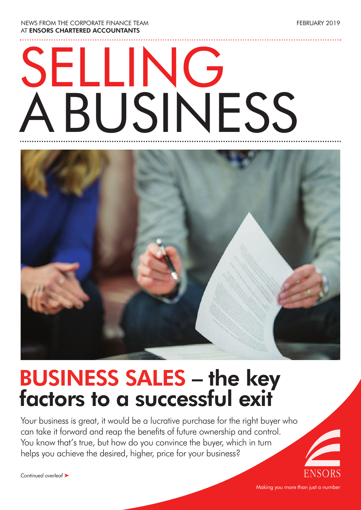NEWS FROM THE CORPORATE FINANCE TEAM AT **ENSORS CHARTERED ACCOUNTANTS**

# SELLING ABUSINESS



## **BUSINESS SALES – the key factors to a successful exit**

Your business is great, it would be a lucrative purchase for the right buyer who can take it forward and reap the benefits of future ownership and control. You know that's true, but how do you convince the buyer, which in turn helps you achieve the desired, higher, price for your business?

*Continued overleaf* ‰

FEBRUARY 2019

Making you more than just a number

ENSOR: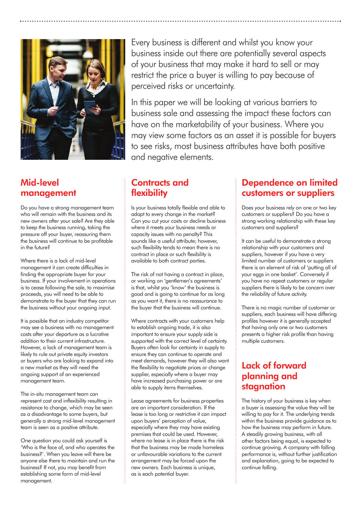

#### **Mid-level management**

Do you have a strong management team who will remain with the business and its new owners after your sale? Are they able to keep the business running, taking the pressure off your buyer, reassuring them the business will continue to be profitable in the future?

Where there is a lack of mid-level management it can create difficulties in finding the appropriate buyer for your business. If your involvement in operations is to cease following the sale, to maximise proceeds, you will need to be able to demonstrate to the buyer that they can run the business without your ongoing input.

It is possible that an industry competitor may see a business with no management costs after your departure as a lucrative addition to their current infrastructure. However, a lack of management team is likely to rule out private equity investors or buyers who are looking to expand into a new market as they will need the ongoing support of an experienced management team.

The in-situ management team can represent cost and inflexibility resulting in resistance to change, which may be seen as a disadvantage to some buyers, but generally a strong mid-level management team is seen as a positive attribute.

One question you could ask yourself is 'Who is the face of, and who operates the business?'. When you leave will there be anyone else there to maintain and run the business? If not, you may benefit from establishing some form of mid-level management.

Every business is different and whilst you know your business inside out there are potentially several aspects of your business that may make it hard to sell or may restrict the price a buyer is willing to pay because of perceived risks or uncertainty.

In this paper we will be looking at various barriers to business sale and assessing the impact these factors can have on the marketability of your business. Where you may view some factors as an asset it is possible for buyers to see risks, most business attributes have both positive and negative elements.

#### **Contracts and flexibility**

Is your business totally flexible and able to adapt to every change in the market? Can you cut your costs or decline business where it meets your business needs or capacity issues with no penalty? This sounds like a useful attribute; however, such flexibility tends to mean there is no contract in place or such flexibility is available to both contract parties.

The risk of not having a contract in place, or working on 'gentlemen's agreements' is that, whilst you 'know' the business is good and is going to continue for as long as you want it, there is no reassurance to the buyer that the business will continue.

Where contracts with your customers help to establish ongoing trade, it is also important to ensure your supply side is supported with the correct level of certainty. Buyers often look for certainty in supply to ensure they can continue to operate and meet demands, however they will also want the flexibility to negotiate prices or change supplier, especially where a buyer may have increased purchasing power or are able to supply items themselves.

Lease agreements for business properties are an important consideration. If the lease is too long or restrictive it can impact upon buyers' perception of value, especially where they may have existing premises that could be used. However, where no lease is in place there is the risk that the business may be made homeless or unfavourable variations to the current arrangement may be forced upon the new owners. Each business is unique, as is each potential buyer.

#### **Dependence on limited customers or suppliers**

Does your business rely on one or two key customers or suppliers? Do you have a strong working relationship with these key customers and suppliers?

It can be useful to demonstrate a strong relationship with your customers and suppliers, however if you have a very limited number of customers or suppliers there is an element of risk of 'putting all of your eggs in one basket'. Conversely if you have no repeat customers or regular suppliers there is likely to be concern over the reliability of future activity.

There is no magic number of customer or suppliers, each business will have differing profiles however it is generally accepted that having only one or two customers presents a higher risk profile than having multiple customers.

#### **Lack of forward planning and stagnation**

The history of your business is key when a buyer is assessing the value they will be willing to pay for it. The underlying trends within the business provide guidance as to how the business may perform in future. A steadily growing business, with all other factors being equal, is expected to continue growing. A company with falling performance is, without further justification and explanation, going to be expected to continue falling.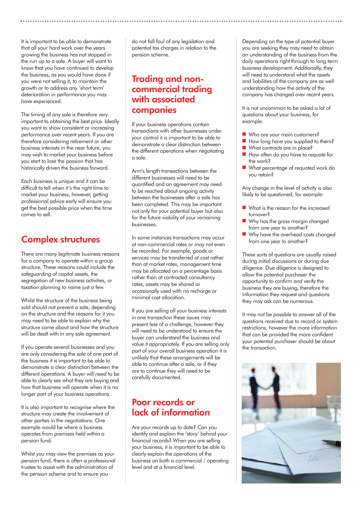It is important to be able to demonstrate that all your hard work over the years growing the business has not stopped in the run up to a sale. A buyer will want to know that you have continued to develop the business, as you would have done if you were not selling it, to maintain the growth or to address any 'short term' deterioration in performance you may have experienced.

The timing of any sale is therefore very important to obtaining the best price. Ideally you want to show consistent or increasing performance over recent years. If you are therefore considering retirement or other business interests in the near future, you may wish to market your business before you start to lose the passion that has historically driven the business forward.

Each business is unique and it can be difficult to tell when it's the right time to market your business, however, getting professional advice early will ensure you get the best possible price when the time comes to sell.

#### **Complex structures**

There are many legitimate business reasons for a company to operate within a group structure. These reasons could include the safeguarding of capital assets, the segregation of new business activities, or taxation planning to name just a few.

Whilst the structure of the business being sold should not prevent a sale, depending on the structure and the reasons for it you may need to be able to explain why the structure came about and how the structure will be dealt with in any sale agreement.

If you operate several businesses and you are only considering the sale of one part of the business it is important to be able to demonstrate a clear distinction between the different operations. A buyer will need to be able to clearly see what they are buying and how that business will operate when it is no longer part of your business operations.

It is also important to recognise where the structure may create the involvement of other parties in the negotiations. One example would be where a business operates from premises held within a pension fund.

Whilst you may view the premises as your pension fund, there is often a professional trustee to assist with the administration of the pension scheme and to ensure you

do not fall foul of any legislation and potential tax charges in relation to the pension scheme.

#### **Trading and noncommercial trading with associated companies**

If your business operations contain transactions with other businesses under your control it is important to be able to demonstrate a clear distinction between the different operations when negotiating a sale.

Arm's length transactions between the different businesses will need to be quantified and an agreement may need to be reached about ongoing activity between the businesses after a sale has been completed. This may be important not only for your potential buyer but also for the future viability of your remaining businesses.

In some instances transactions may occur at non-commercial rates or may not even be recorded. For example, goods or services may be transferred at cost rather than at market rates, management time may be allocated on a percentage basis rather than at contracted consultancy rates, assets may be shared or occasionally used with no recharge or minimal cost allocation.

If you are selling all your business interests in one transaction these issues may present less of a challenge, however they will need to be understood to ensure the buyer can understand the business and value it appropriately. If you are selling only part of your overall business operation it is unlikely that these arrangements will be able to continue after a sale, or if they are to continue they will need to be carefully documented.

#### **Poor records or lack of information**

Are your records up to date? Can you identify and explain the 'story' behind your financial records? When you are selling your business, it is important to be able to clearly explain the operations of the business on both a commercial / operating level and at a financial level.

Depending on the type of potential buyer you are seeking they may need to obtain an understanding of the business from the daily operations right through to long term business development. Additionally, they will need to understand what the assets and liabilities of the company are as well understanding how the activity of the company has changed over recent years.

It is not uncommon to be asked a lot of questions about your business, for example:

- Who are your main customers?
- $\blacksquare$  How long have you supplied to them?
- $\blacksquare$  What contracts are in place?
- How often do you have to requote for the work?
- **n** What percentage of requoted work do you retain?

Any change in the level of activity is also likely to be questioned, for example:

- $\blacksquare$  What is the reason for the increased turnover?
- Why has the gross margin changed from one year to another?
- Why have the overhead costs changed from one year to another?

These sorts of questions are usually raised during initial discussions or during due diligence. Due diligence is designed to allow the potential purchaser the opportunity to confirm and verify the business they are buying, therefore the information they request and questions they may ask can be numerous.

It may not be possible to answer all of the questions received due to record or system restrictions, however the more information that can be provided the more confident your potential purchaser should be about the transaction.